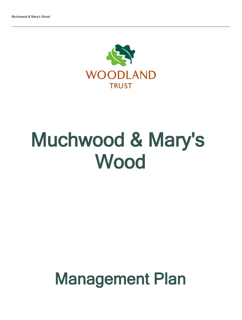

# Muchwood & Mary's **Wood**

# Management Plan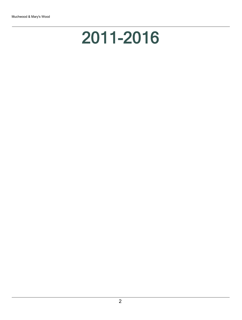# 2011-2016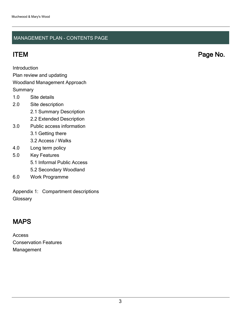#### MANAGEMENT PLAN - CONTENTS PAGE

Introduction

Plan review and updating

#### Woodland Management Approach

**Summary** 

- 1.0 Site details
- 2.0 Site description
	- 2.1 Summary Description
	- 2.2 Extended Description
- 3.0 Public access information
	- 3.1 Getting there
	- 3.2 Access / Walks
- 4.0 Long term policy
- 5.0 Key Features
	- 5.1 Informal Public Access
	- 5.2 Secondary Woodland
- 6.0 Work Programme

Appendix 1: Compartment descriptions **Glossary** 

# MAPS

Access Conservation Features Management

3

ITEM Page No.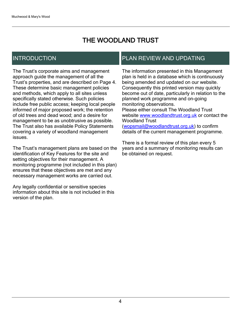# THE WOODLAND TRUST

# INTRODUCTION

The Trust's corporate aims and management approach guide the management of all the Trust's properties, and are described on Page 4. These determine basic management policies and methods, which apply to all sites unless specifically stated otherwise. Such policies include free public access; keeping local people informed of major proposed work; the retention of old trees and dead wood; and a desire for management to be as unobtrusive as possible. The Trust also has available Policy Statements covering a variety of woodland management issues.

The Trust's management plans are based on the identification of Key Features for the site and setting objectives for their management. A monitoring programme (not included in this plan) ensures that these objectives are met and any necessary management works are carried out.

Any legally confidential or sensitive species information about this site is not included in this version of the plan.

## PLAN REVIEW AND UPDATING

The information presented in this Management plan is held in a database which is continuously being amended and updated on our website. Consequently this printed version may quickly become out of date, particularly in relation to the planned work programme and on-going monitoring observations. Please either consult The Woodland Trust website [www.woodlandtrust.org.uk](http://www.woodlandtrust.org.uk/) or contact the Woodland Trust [\(wopsmail@woodlandtrust.org.uk](mailto:wopsmail@woodlandtrust.org.uk)) to confirm

details of the current management programme.

There is a formal review of this plan every 5 years and a summary of monitoring results can be obtained on request.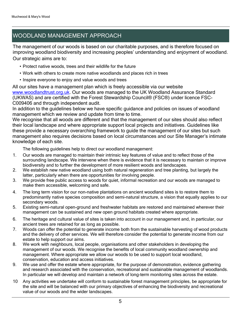# WOODLAND MANAGEMENT APPROACH

The management of our woods is based on our charitable purposes, and is therefore focused on improving woodland biodiversity and increasing peoples' understanding and enjoyment of woodland. Our strategic aims are to:

- Protect native woods, trees and their wildlife for the future
- Work with others to create more native woodlands and places rich in trees
- Inspire everyone to enjoy and value woods and trees

All our sites have a management plan which is freely accessible via our website [www.woodlandtrust.org.uk.](http://www.woodlandtrust.org.uk/) Our woods are managed to the UK Woodland Assurance Standard (UKWAS) and are certified with the Forest Stewardship Council® (FSC®) under licence FSC-C009406 and through independent audit.

In addition to the guidelines below we have specific guidance and policies on issues of woodland management which we review and update from time to time.

We recognise that all woods are different and that the management of our sites should also reflect their local landscape and where appropriate support local projects and initiatives. Guidelines like these provide a necessary overarching framework to guide the management of our sites but such management also requires decisions based on local circumstances and our Site Manager's intimate knowledge of each site.

The following guidelines help to direct our woodland management:

- 1. Our woods are managed to maintain their intrinsic key features of value and to reflect those of the surrounding landscape. We intervene when there is evidence that it is necessary to maintain or improve biodiversity and to further the development of more resilient woods and landscapes.
- 2. We establish new native woodland using both natural regeneration and tree planting, but largely the latter, particularly when there are opportunities for involving people.
- 3. We provide free public access to woods for quiet, informal recreation and our woods are managed to make them accessible, welcoming and safe.
- 4. The long term vision for our non-native plantations on ancient woodland sites is to restore them to predominantly native species composition and semi-natural structure, a vision that equally applies to our secondary woods.
- 5. Existing semi-natural open-ground and freshwater habitats are restored and maintained wherever their management can be sustained and new open ground habitats created where appropriate.
- 6. The heritage and cultural value of sites is taken into account in our management and, in particular, our ancient trees are retained for as long as possible.
- 7. Woods can offer the potential to generate income both from the sustainable harvesting of wood products and the delivery of other services. We will therefore consider the potential to generate income from our estate to help support our aims.
- 8. We work with neighbours, local people, organisations and other stakeholders in developing the management of our woods. We recognise the benefits of local community woodland ownership and management. Where appropriate we allow our woods to be used to support local woodland, conservation, education and access initiatives.
- 9. We use and offer the estate where appropriate, for the purpose of demonstration, evidence gathering and research associated with the conservation, recreational and sustainable management of woodlands. In particular we will develop and maintain a network of long-term monitoring sites across the estate.
- 10 Any activities we undertake will conform to sustainable forest management principles, be appropriate for the site and will be balanced with our primary objectives of enhancing the biodiversity and recreational value of our woods and the wider landscapes.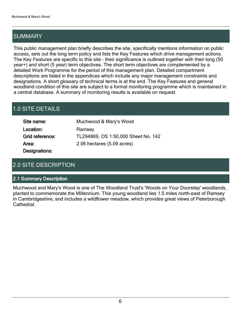# SUMMARY

This public management plan briefly describes the site, specifically mentions information on public access, sets out the long term policy and lists the Key Features which drive management actions. The Key Features are specific to this site - their significance is outlined together with their long (50 year+) and short (5 year) term objectives. The short term objectives are complemented by a detailed Work Programme for the period of this management plan. Detailed compartment descriptions are listed in the appendices which include any major management constraints and designations. A short glossary of technical terms is at the end. The Key Features and general woodland condition of this site are subject to a formal monitoring programme which is maintained in a central database. A summary of monitoring results is available on request.

## 1.0 SITE DETAILS

| Site name:      | Muchwood & Mary's Wood              |
|-----------------|-------------------------------------|
| Location:       | Ramsey                              |
| Grid reference: | TL294869, OS 1:50,000 Sheet No. 142 |
| Area:           | 2.06 hectares (5.09 acres)          |
| Designations:   |                                     |

# 2.0 SITE DESCRIPTION

#### 2.1 Summary Description

Muchwood and Mary's Wood is one of The Woodland Trust's 'Woods on Your Doorstep' woodlands, planted to commemorate the Millennium. This young woodland lies 1.5 miles north-east of Ramsey in Cambridgeshire, and includes a wildflower meadow, which provides great views of Peterborough Cathedral.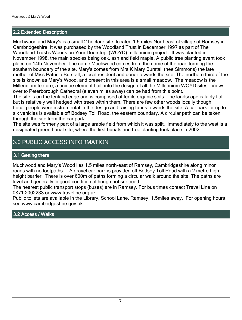#### 2.2 Extended Description

Muchwood and Mary's is a small 2 hectare site, located 1.5 miles Northeast of village of Ramsey in Cambridgeshire. It was purchased by the Woodland Trust in December 1997 as part of The Woodland Trust's Woods on Your Doorstep' (WOYD) millennium project. It was planted in November 1998, the main species being oak, ash and field maple. A public tree planting event took place on 14th November. The name Muchwood comes from the name of the road forming the southern boundary of the site. Mary's comes from Mrs K Mary Burstall (nee Simmons) the late mother of Miss Patricia Burstall, a local resident and donor towards the site. The northern third of the site is known as Mary's Wood, and present in this area is a small meadow. The meadow is the Millennium feature, a unique element built into the design of all the Millennium WOYD sites. Views over to Peterborough Cathedral (eleven miles away) can be had from this point.

The site is on the fenland edge and is comprised of fertile organic soils. The landscape is fairly flat but is relatively well hedged with trees within them. There are few other woods locally though. Local people were instrumental in the design and raising funds towards the site. A car park for up to six vehicles is available off Bodsey Toll Road, the eastern boundary. A circular path can be taken through the site from the car park

The site was formerly part of a large arable field from which it was split. Immediately to the west is a designated green burial site, where the first burials and tree planting took place in 2002.

## 3.0 PUBLIC ACCESS INFORMATION

#### 3.1 Getting there

Muchwood and Mary's Wood lies 1.5 miles north-east of Ramsey, Cambridgeshire along minor roads with no footpaths. A gravel car park is provided off Bodsey Toll Road with a 2 metre high height barrier. There is over 600m of paths forming a circular walk around the site. The paths are level and generally in good condition although not surfaced.

The nearest public transport stops (buses) are in Ramsey. For bus times contact Travel Line on 0871 2002233 or www.traveline.org.uk

Public toilets are available in the Library, School Lane, Ramsey, 1.5miles away. For opening hours see www.cambridgeshire.gov.uk

#### 3.2 Access / Walks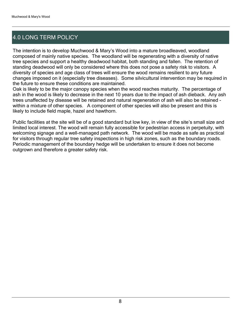# 4.0 LONG TERM POLICY

The intention is to develop Muchwood & Mary's Wood into a mature broadleaved, woodland composed of mainly native species. The woodland will be regenerating with a diversity of native tree species and support a healthy deadwood habitat, both standing and fallen. The retention of standing deadwood will only be considered where this does not pose a safety risk to visitors. A diversity of species and age class of trees will ensure the wood remains resilient to any future changes imposed on it (especially tree diseases). Some silvicultural intervention may be required in the future to ensure these conditions are maintained.

Oak is likely to be the major canopy species when the wood reaches maturity. The percentage of ash in the wood is likely to decrease in the next 10 years due to the impact of ash dieback. Any ash trees unaffected by disease will be retained and natural regeneration of ash will also be retained within a mixture of other species. A component of other species will also be present and this is likely to include field maple, hazel and hawthorn.

Public facilities at the site will be of a good standard but low key, in view of the site's small size and limited local interest. The wood will remain fully accessible for pedestrian access in perpetuity, with welcoming signage and a well-managed path network. The wood will be made as safe as practical for visitors through regular tree safety inspections in high risk zones, such as the boundary roads. Periodic management of the boundary hedge will be undertaken to ensure it does not become outgrown and therefore a greater safety risk.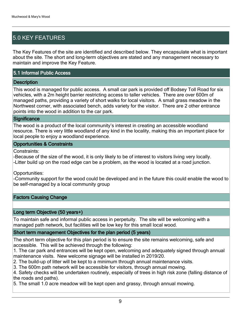# 5.0 KEY FEATURES

The Key Features of the site are identified and described below. They encapsulate what is important about the site. The short and long-term objectives are stated and any management necessary to maintain and improve the Key Feature.

#### 5.1 Informal Public Access

#### **Description**

This wood is managed for public access. A small car park is provided off Bodsey Toll Road for six vehicles, with a 2m height barrier restricting access to taller vehicles. There are over 600m of managed paths, providing a variety of short walks for local visitors. A small grass meadow in the Northwest corner, with associated bench, adds variety for the visitor. There are 2 other entrance points into the wood in addition to the car park.

#### **Significance**

The wood is a product of the local community's interest in creating an accessible woodland resource. There is very little woodland of any kind in the locality, making this an important place for local people to enjoy a woodland experience.

#### Opportunities & Constraints

Constraints:

-Because of the size of the wood, it is only likely to be of interest to visitors living very locally. -Litter build up on the road edge can be a problem, as the wood is located at a road junction.

Opportunities:

-Community support for the wood could be developed and in the future this could enable the wood to be self-managed by a local community group

#### Factors Causing Change

#### Long term Objective (50 years+)

To maintain safe and informal public access in perpetuity. The site will be welcoming with a managed path network, but facilities will be low key for this small local wood.

#### Short term management Objectives for the plan period (5 years)

The short term objective for this plan period is to ensure the site remains welcoming, safe and accessible. This will be achieved through the following:

1. The car park and entrances will be kept open, welcoming and adequately signed through annual maintenance visits. New welcome signage will be installed in 2019/20.

2. The build-up of litter will be kept to a minimum through annual maintenance visits.

3. The 600m path network will be accessible for visitors, through annual mowing.

4. Safety checks will be undertaken routinely, especially of trees in high risk zone (falling distance of the roads and paths).

5. The small 1.0 acre meadow will be kept open and grassy, through annual mowing.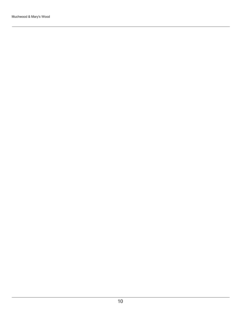Muchwood & Mary's Wood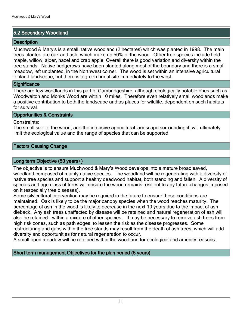#### 5.2 Secondary Woodland

#### **Description**

Muchwood & Mary's is a small native woodland (2 hectares) which was planted in 1998. The main trees planted are oak and ash, which make up 50% of the wood. Other tree species include field maple, willow, alder, hazel and crab apple. Overall there is good variation and diversity within the tree stands. Native hedgerows have been planted along most of the boundary and there is a small meadow, left unplanted, in the Northwest corner. The wood is set within an intensive agricultural fenland landscape, but there is a green burial site immediately to the west.

#### **Significance**

There are few woodlands in this part of Cambridgeshire, although ecologically notable ones such as Woodwalton and Monks Wood are within 10 miles. Therefore even relatively small woodlands make a positive contribution to both the landscape and as places for wildlife, dependent on such habitats for survival

#### Opportunities & Constraints

Constraints:

The small size of the wood, and the intensive agricultural landscape surrounding it, will ultimately limit the ecological value and the range of species that can be supported.

#### Factors Causing Change

#### Long term Objective (50 years+)

The obiective is to ensure Muchwood & Mary's Wood develops into a mature broadleaved, woodland composed of mainly native species. The woodland will be regenerating with a diversity of native tree species and support a healthy deadwood habitat, both standing and fallen. A diversity of species and age class of trees will ensure the wood remains resilient to any future changes imposed on it (especially tree diseases).

Some silvicultural intervention may be required in the future to ensure these conditions are maintained. Oak is likely to be the major canopy species when the wood reaches maturity. The percentage of ash in the wood is likely to decrease in the next 10 years due to the impact of ash dieback. Any ash trees unaffected by disease will be retained and natural regeneration of ash will also be retained - within a mixture of other species. It may be necessary to remove ash trees from high risk zones, such as path edges, to lessen the risk as the disease progresses. Some restructuring and gaps within the tree stands may result from the death of ash trees, which will add diversity and opportunities for natural regeneration to occur.

A small open meadow will be retained within the woodland for ecological and amenity reasons.

Short term management Objectives for the plan period (5 years)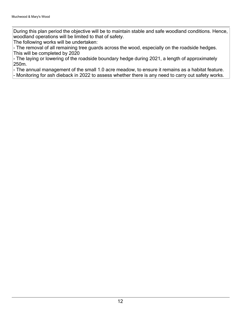During this plan period the objective will be to maintain stable and safe woodland conditions. Hence, woodland operations will be limited to that of safety.

The following works will be undertaken:

- The removal of all remaining tree guards across the wood, especially on the roadside hedges. This will be completed by 2020

- The laying or lowering of the roadside boundary hedge during 2021, a length of approximately 250m.

- The annual management of the small 1.0 acre meadow, to ensure it remains as a habitat feature.

- Monitoring for ash dieback in 2022 to assess whether there is any need to carry out safety works.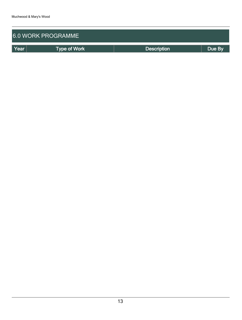| <b>6.0 WORK PROGRAMME</b> |                     |                    |        |  |  |  |
|---------------------------|---------------------|--------------------|--------|--|--|--|
| Year                      | <b>Type of Work</b> | <b>Description</b> | Due By |  |  |  |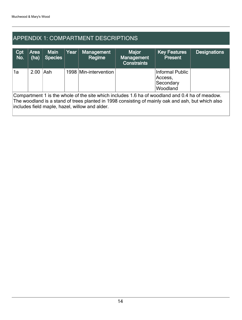# APPENDIX 1: COMPARTMENT DESCRIPTIONS

| Cpt<br>No.                                                                                                                                                                                                                                            | Area<br>(ha) | <b>Main</b><br><b>Species</b> | Year | <b>Management</b><br>Regime | <b>Major</b><br><b>Management</b><br><b>Constraints</b> | <b>Key Features</b><br><b>Present</b>                      | <b>Designations</b> |  |  |
|-------------------------------------------------------------------------------------------------------------------------------------------------------------------------------------------------------------------------------------------------------|--------------|-------------------------------|------|-----------------------------|---------------------------------------------------------|------------------------------------------------------------|---------------------|--|--|
| 1a                                                                                                                                                                                                                                                    | 2.00         | <b>Ash</b>                    |      | 1998 Min-intervention       |                                                         | <b>Informal Public</b><br>Access,<br>Secondary<br>Woodland |                     |  |  |
| Compartment 1 is the whole of the site which includes 1.6 ha of woodland and 0.4 ha of meadow.<br>The woodland is a stand of trees planted in 1998 consisting of mainly oak and ash, but which also<br>includes field maple, hazel, willow and alder. |              |                               |      |                             |                                                         |                                                            |                     |  |  |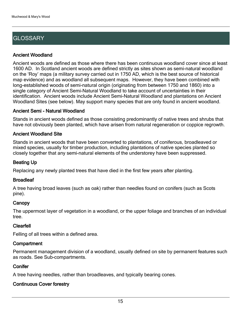# **GLOSSARY**

#### Ancient Woodland

Ancient woods are defined as those where there has been continuous woodland cover since at least 1600 AD. In Scotland ancient woods are defined strictly as sites shown as semi-natural woodland on the 'Roy' maps (a military survey carried out in 1750 AD, which is the best source of historical map evidence) and as woodland all subsequent maps. However, they have been combined with long-established woods of semi-natural origin (originating from between 1750 and 1860) into a single category of Ancient Semi-Natural Woodland to take account of uncertainties in their identification. Ancient woods include Ancient Semi-Natural Woodland and plantations on Ancient Woodland Sites (see below). May support many species that are only found in ancient woodland.

#### Ancient Semi - Natural Woodland

Stands in ancient woods defined as those consisting predominantly of native trees and shrubs that have not obviously been planted, which have arisen from natural regeneration or coppice regrowth.

#### Ancient Woodland Site

Stands in ancient woods that have been converted to plantations, of coniferous, broadleaved or mixed species, usually for timber production, including plantations of native species planted so closely together that any semi-natural elements of the understorey have been suppressed.

#### Beating Up

Replacing any newly planted trees that have died in the first few years after planting.

#### **Broadleaf**

A tree having broad leaves (such as oak) rather than needles found on conifers (such as Scots pine).

#### **Canopy**

The uppermost layer of vegetation in a woodland, or the upper foliage and branches of an individual tree.

#### Clearfell

Felling of all trees within a defined area.

#### **Compartment**

Permanent management division of a woodland, usually defined on site by permanent features such as roads. See Sub-compartments.

#### **Conifer**

A tree having needles, rather than broadleaves, and typically bearing cones.

### Continuous Cover forestry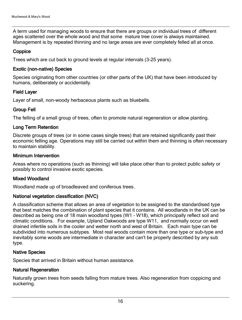A term used for managing woods to ensure that there are groups or individual trees of different ages scattered over the whole wood and that some mature tree cover is always maintained. Management is by repeated thinning and no large areas are ever completely felled all at once.

#### **Coppice**

Trees which are cut back to ground levels at regular intervals (3-25 years).

#### Exotic (non-native) Species

Species originating from other countries (or other parts of the UK) that have been introduced by humans, deliberately or accidentally.

#### Field Layer

Layer of small, non-woody herbaceous plants such as bluebells.

#### Group Fell

The felling of a small group of trees, often to promote natural regeneration or allow planting.

#### Long Term Retention

Discrete groups of trees (or in some cases single trees) that are retained significantly past their economic felling age. Operations may still be carried out within them and thinning is often necessary to maintain stability.

#### Minimum Intervention

Areas where no operations (such as thinning) will take place other than to protect public safety or possibly to control invasive exotic species.

#### Mixed Woodland

Woodland made up of broadleaved and coniferous trees.

#### National vegetation classification (NVC)

A classification scheme that allows an area of vegetation to be assigned to the standardised type that best matches the combination of plant species that it contains. All woodlands in the UK can be described as being one of 18 main woodland types (W1 - W18), which principally reflect soil and climatic conditions. For example, Upland Oakwoods are type W11, and normally occur on well drained infertile soils in the cooler and wetter north and west of Britain. Each main type can be subdivided into numerous subtypes. Most real woods contain more than one type or sub-type and inevitably some woods are intermediate in character and can't be properly described by any sub type.

#### Native Species

Species that arrived in Britain without human assistance.

#### Natural Regeneration

Naturally grown trees from seeds falling from mature trees. Also regeneration from coppicing and suckering.